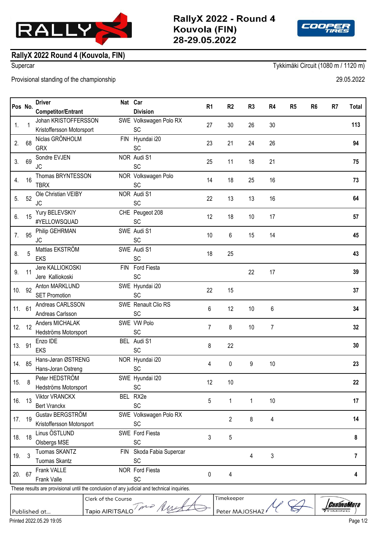



## **RallyX 2022 Round 4 (Kouvola, FIN)**

Supercar Tykkimäki Circuit (1080 m / 1120 m)

Provisional standing of the championship 29.05.2022

| Pos No. | <b>Driver</b>             | Nat | Car                    | R1 | R <sub>2</sub> | R <sub>3</sub> | R <sub>4</sub> | R <sub>5</sub> | R <sub>6</sub> | -R7 | Total |
|---------|---------------------------|-----|------------------------|----|----------------|----------------|----------------|----------------|----------------|-----|-------|
|         | <b>Competitor/Entrant</b> |     | <b>Division</b>        |    |                |                |                |                |                |     |       |
|         | Johan KRISTOFFFRSSON      |     | SWE Volkswagen Polo RY |    |                |                |                |                |                |     |       |

|        |                                                                                             | <b>Competitor/Entrant</b>   |            | <b>Division</b>        |    |                |    |    |     |
|--------|---------------------------------------------------------------------------------------------|-----------------------------|------------|------------------------|----|----------------|----|----|-----|
| 1.     |                                                                                             | Johan KRISTOFFERSSON        |            | SWE Volkswagen Polo RX | 27 | 30             | 26 | 30 | 113 |
|        |                                                                                             | Kristoffersson Motorsport   |            | <b>SC</b>              |    |                |    |    |     |
| 2.     | 68                                                                                          | Niclas GRÖNHOLM             | <b>FIN</b> | Hyundai i20            | 23 | 21             | 24 | 26 | 94  |
|        |                                                                                             | <b>GRX</b>                  |            | SC                     |    |                |    |    |     |
| 3.     | 69                                                                                          | Sondre EVJEN                |            | NOR Audi S1            | 25 | 11             | 18 | 21 | 75  |
|        |                                                                                             | <b>JC</b>                   |            | SC                     |    |                |    |    |     |
| 4.     | 16                                                                                          | Thomas BRYNTESSON           |            | NOR Volkswagen Polo    | 14 | 18             | 25 | 16 | 73  |
|        |                                                                                             | <b>TBRX</b>                 |            | SC                     |    |                |    |    |     |
| 5.     | 52                                                                                          | Ole Christian VEIBY         |            | NOR Audi S1            | 22 | 13             | 13 | 16 | 64  |
|        |                                                                                             | <b>JC</b>                   |            | SC                     |    |                |    |    |     |
| 6.     | 15                                                                                          | Yury BELEVSKIY              |            | CHE Peugeot 208<br>SC  | 12 | 18             | 10 | 17 | 57  |
|        |                                                                                             | #YELLOWSQUAD                |            | SWE Audi S1            |    |                |    |    |     |
| 7.     | 95                                                                                          | Philip GEHRMAN<br><b>JC</b> |            | SC                     | 10 | 6              | 15 | 14 | 45  |
|        |                                                                                             | Mattias EKSTRÖM             |            | SWE Audi S1            |    |                |    |    |     |
| 8.     | 5                                                                                           | <b>EKS</b>                  |            | SC                     | 18 | 25             |    |    | 43  |
|        |                                                                                             | Jere KALLIOKOSKI            | <b>FIN</b> | Ford Fiesta            |    |                |    |    |     |
| 9.     | 11                                                                                          | Jere Kalliokoski            |            | SC                     |    |                | 22 | 17 | 39  |
|        |                                                                                             | Anton MARKLUND              |            | SWE Hyundai i20        |    |                |    |    |     |
| 10.    | 92                                                                                          | <b>SET Promotion</b>        |            | SC                     | 22 | 15             |    |    | 37  |
|        |                                                                                             | Andreas CARLSSON            |            | SWE Renault Clio RS    |    |                |    |    |     |
| 11. 61 |                                                                                             | Andreas Carlsson            |            | SC                     | 6  | 12             | 10 | 6  | 34  |
|        |                                                                                             | Anders MICHALAK             |            | SWE VW Polo            |    |                |    |    |     |
| 12.    | 12                                                                                          | Hedströms Motorsport        |            | SC                     | 7  | 8              | 10 | 7  | 32  |
| 13.    | 91                                                                                          | Enzo IDE                    |            | BEL Audi S1            | 8  | 22             |    |    | 30  |
|        |                                                                                             | <b>EKS</b>                  |            | SC                     |    |                |    |    |     |
| 14. 85 |                                                                                             | Hans-Jøran ØSTRENG          |            | NOR Hyundai i20        | 4  | 0              | 9  | 10 | 23  |
|        |                                                                                             | Hans-Joran Ostreng          |            | SC                     |    |                |    |    |     |
| 15.    | 8                                                                                           | Peter HEDSTRÖM              |            | SWE Hyundai I20        | 12 | 10             |    |    | 22  |
|        |                                                                                             | Hedströms Motorsport        |            | SC                     |    |                |    |    |     |
| 16.    | 13                                                                                          | Viktor VRANCKX              |            | BEL RX2e               | 5  | 1              | 1  | 10 | 17  |
|        |                                                                                             | <b>Bert Vranckx</b>         |            | SC                     |    |                |    |    |     |
| 17. 19 |                                                                                             | Gustav BERGSTRÖM            |            | SWE Volkswagen Polo RX |    | $\overline{2}$ | 8  | 4  | 14  |
|        |                                                                                             | Kristoffersson Motorsport   |            | <b>SC</b>              |    |                |    |    |     |
| 18.    | 18                                                                                          | Linus ÖSTLUND               |            | SWE Ford Fiesta        | 3  | 5              |    |    | 8   |
|        |                                                                                             | Olsbergs MSE                |            | SC                     |    |                |    |    |     |
| 19.    | $\mathbf{3}$                                                                                | Tuomas SKANTZ               | FIN        | Skoda Fabia Supercar   |    |                | 4  | 3  | 7   |
|        |                                                                                             | Tuomas Skantz               |            | <b>SC</b>              |    |                |    |    |     |
| 20.    | 67                                                                                          | Frank VALLE                 |            | NOR Ford Fiesta        | 0  | 4              |    |    | 4   |
|        |                                                                                             | Frank Valle                 |            | SC                     |    |                |    |    |     |
|        | These results are provisional until the conclusion of any judicial and technical inquiries. |                             |            |                        |    |                |    |    |     |

Timekeeper

Peter MAJOSHAZ

## Clerk of the Course Clerk of the Course<br>Tapio AIRITSALO  $\overline{p}$   $\overline{p}$   $\overline{p}$

Published at...

*CHRÓNOMOTO*